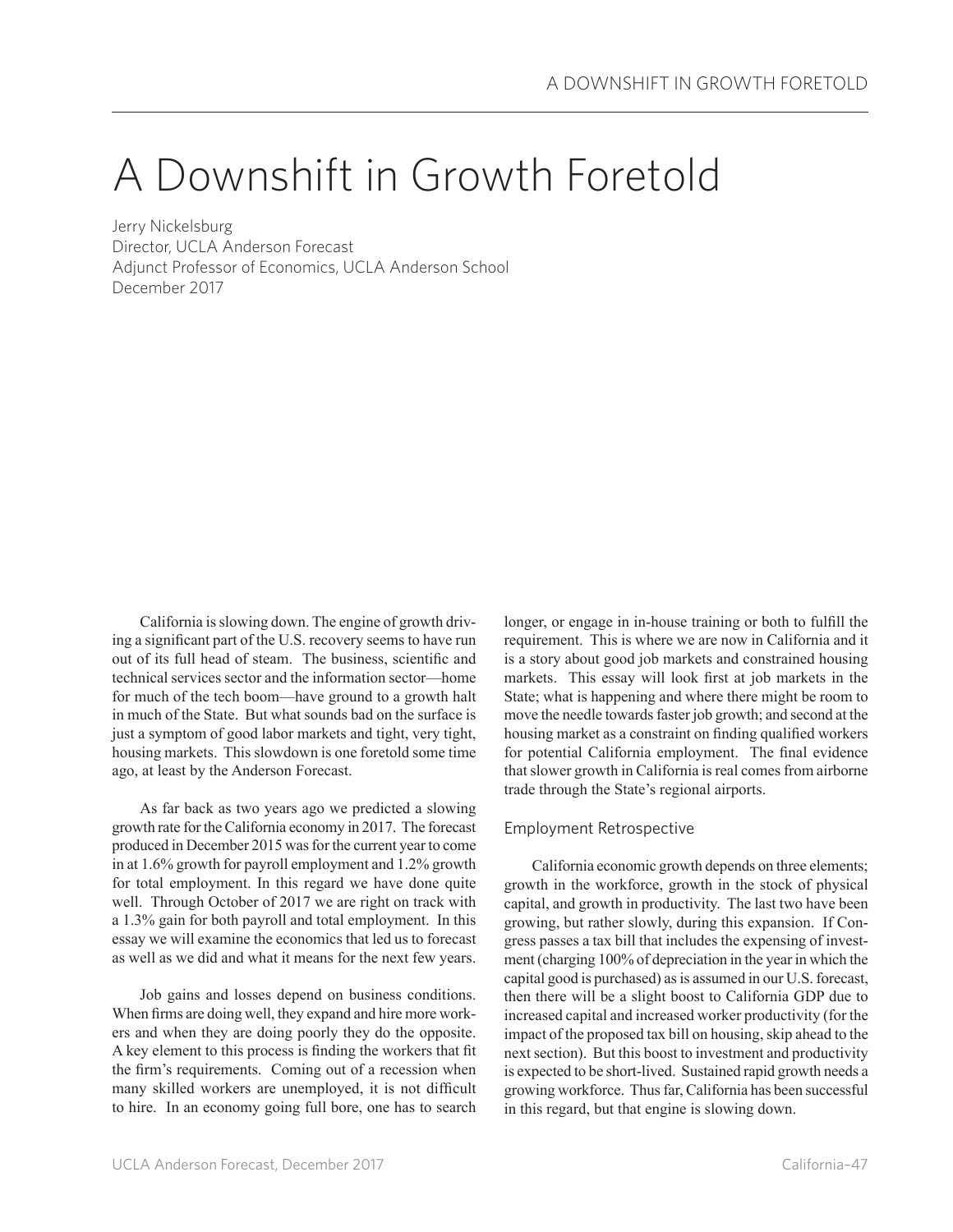# A Downshift in Growth Foretold

Jerry Nickelsburg Director, UCLA Anderson Forecast Adjunct Professor of Economics, UCLA Anderson School December 2017

California is slowing down. The engine of growth driving a significant part of the U.S. recovery seems to have run out of its full head of steam. The business, scientific and technical services sector and the information sector—home for much of the tech boom—have ground to a growth halt in much of the State. But what sounds bad on the surface is just a symptom of good labor markets and tight, very tight, housing markets. This slowdown is one foretold some time ago, at least by the Anderson Forecast.

As far back as two years ago we predicted a slowing growth rate for the California economy in 2017. The forecast produced in December 2015 was for the current year to come in at 1.6% growth for payroll employment and 1.2% growth for total employment. In this regard we have done quite well. Through October of 2017 we are right on track with a 1.3% gain for both payroll and total employment. In this essay we will examine the economics that led us to forecast as well as we did and what it means for the next few years.

Job gains and losses depend on business conditions. When firms are doing well, they expand and hire more workers and when they are doing poorly they do the opposite. A key element to this process is finding the workers that fit the firm's requirements. Coming out of a recession when many skilled workers are unemployed, it is not difficult to hire. In an economy going full bore, one has to search longer, or engage in in-house training or both to fulfill the requirement. This is where we are now in California and it is a story about good job markets and constrained housing markets. This essay will look first at job markets in the State; what is happening and where there might be room to move the needle towards faster job growth; and second at the housing market as a constraint on finding qualified workers for potential California employment. The final evidence that slower growth in California is real comes from airborne trade through the State's regional airports.

## Employment Retrospective

California economic growth depends on three elements; growth in the workforce, growth in the stock of physical capital, and growth in productivity. The last two have been growing, but rather slowly, during this expansion. If Congress passes a tax bill that includes the expensing of investment (charging 100% of depreciation in the year in which the capital good is purchased) as is assumed in our U.S. forecast, then there will be a slight boost to California GDP due to increased capital and increased worker productivity (for the impact of the proposed tax bill on housing, skip ahead to the next section). But this boost to investment and productivity is expected to be short-lived. Sustained rapid growth needs a growing workforce. Thus far, California has been successful in this regard, but that engine is slowing down.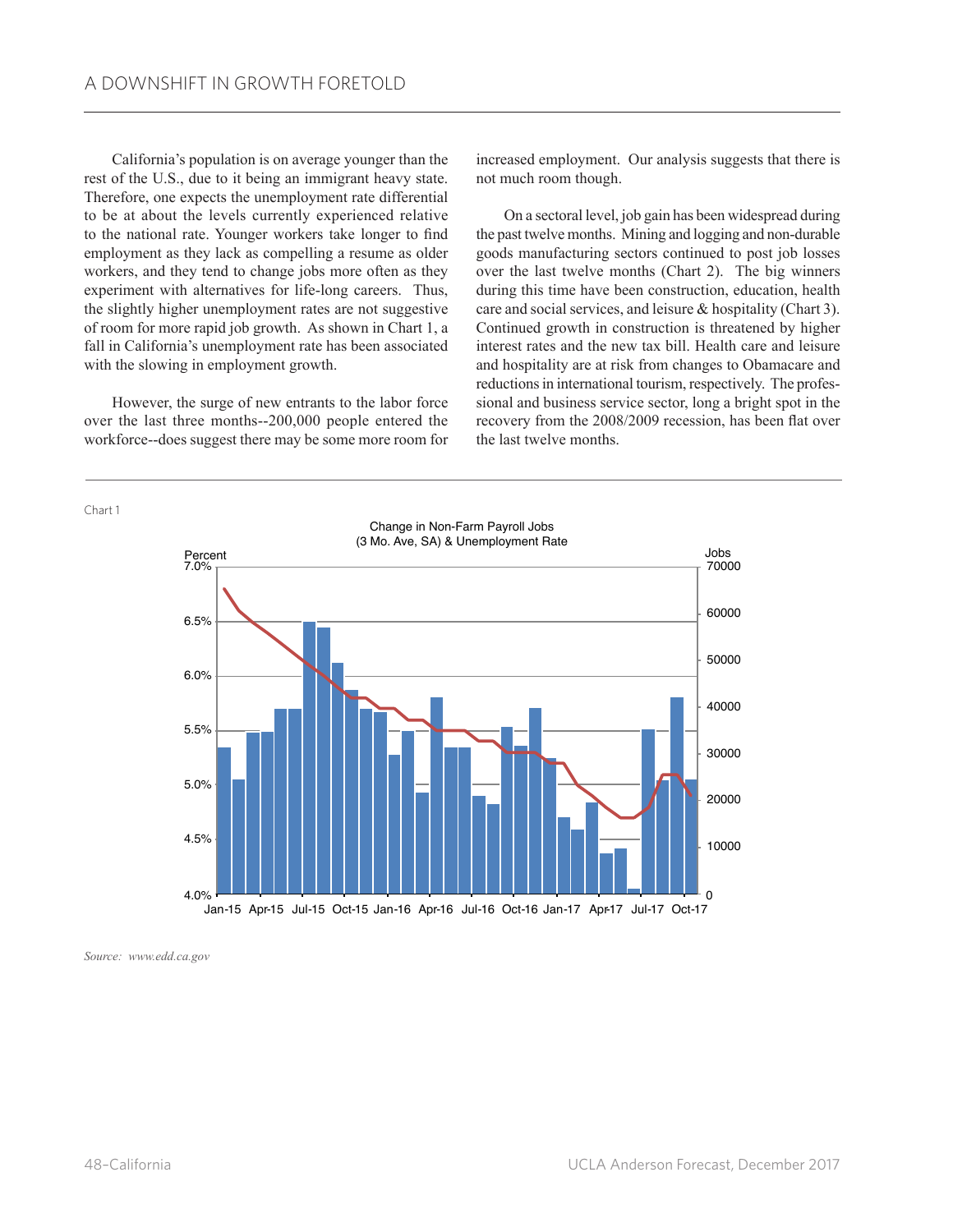California's population is on average younger than the rest of the U.S., due to it being an immigrant heavy state. Therefore, one expects the unemployment rate differential to be at about the levels currently experienced relative to the national rate. Younger workers take longer to find employment as they lack as compelling a resume as older workers, and they tend to change jobs more often as they experiment with alternatives for life-long careers. Thus, the slightly higher unemployment rates are not suggestive of room for more rapid job growth. As shown in Chart 1, a fall in California's unemployment rate has been associated with the slowing in employment growth.

However, the surge of new entrants to the labor force over the last three months--200,000 people entered the workforce--does suggest there may be some more room for

increased employment. Our analysis suggests that there is not much room though.

On a sectoral level, job gain has been widespread during the past twelve months. Mining and logging and non-durable goods manufacturing sectors continued to post job losses over the last twelve months (Chart 2). The big winners during this time have been construction, education, health care and social services, and leisure & hospitality (Chart 3). Continued growth in construction is threatened by higher interest rates and the new tax bill. Health care and leisure and hospitality are at risk from changes to Obamacare and reductions in international tourism, respectively. The professional and business service sector, long a bright spot in the recovery from the 2008/2009 recession, has been flat over the last twelve months.



*Source: www.edd.ca.gov*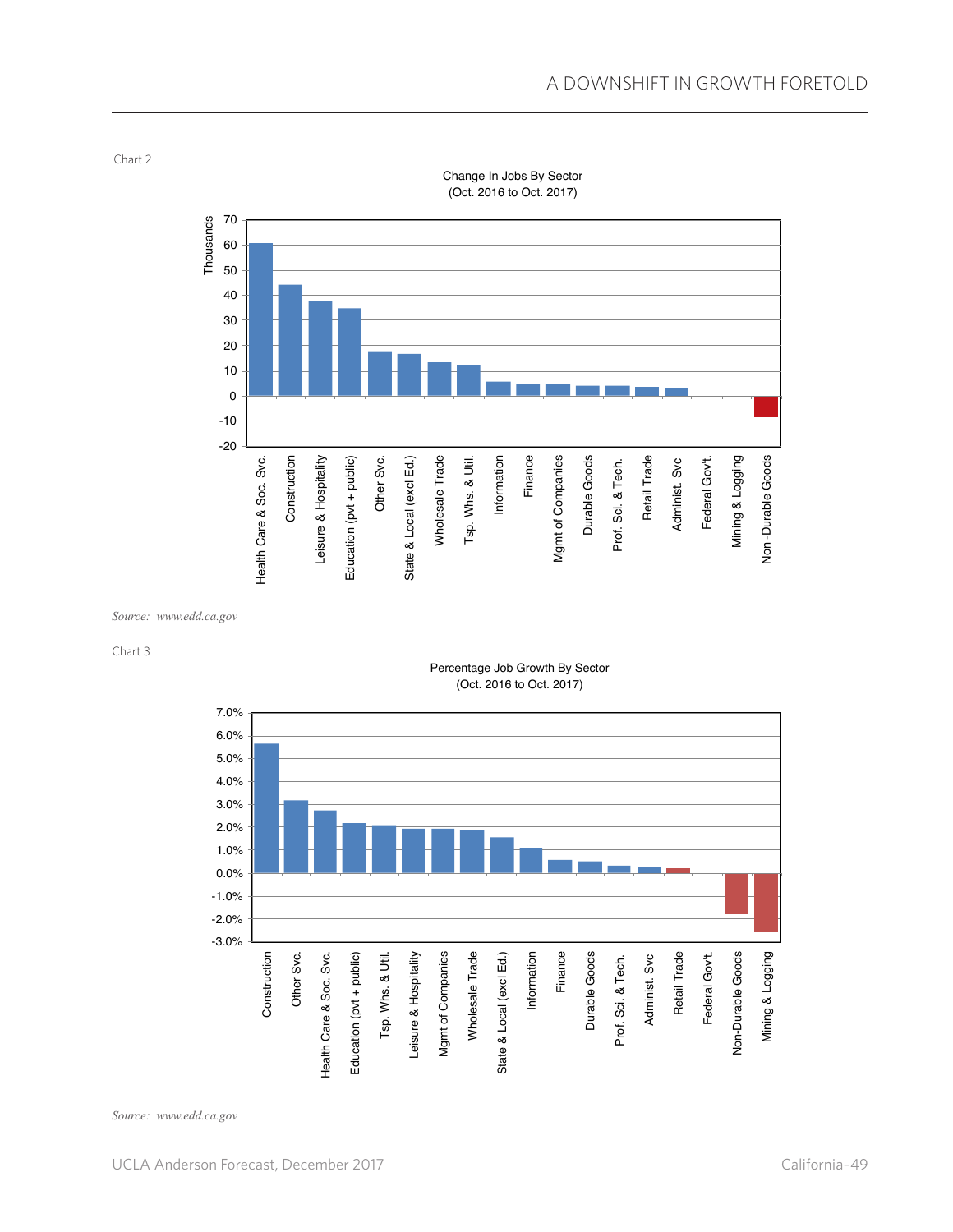

Change In Jobs By Sector (Oct. 2016 to Oct. 2017)

*Source: www.edd.ca.gov*

#### Chart 3

Chart 2





*Source: www.edd.ca.gov*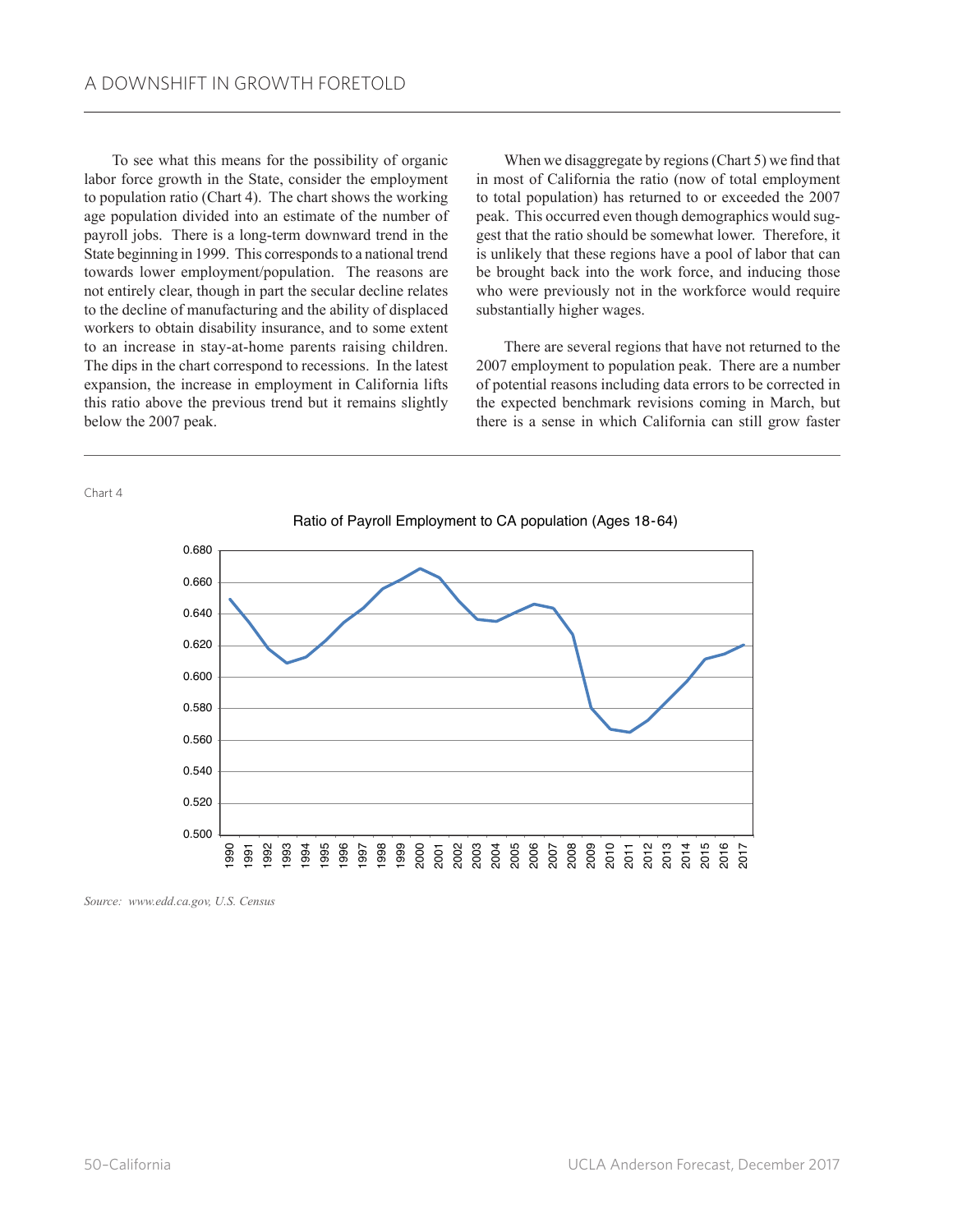To see what this means for the possibility of organic labor force growth in the State, consider the employment to population ratio (Chart 4). The chart shows the working age population divided into an estimate of the number of payroll jobs. There is a long-term downward trend in the State beginning in 1999. This corresponds to a national trend towards lower employment/population. The reasons are not entirely clear, though in part the secular decline relates to the decline of manufacturing and the ability of displaced workers to obtain disability insurance, and to some extent to an increase in stay-at-home parents raising children. The dips in the chart correspond to recessions. In the latest expansion, the increase in employment in California lifts this ratio above the previous trend but it remains slightly below the 2007 peak.

When we disaggregate by regions (Chart 5) we find that in most of California the ratio (now of total employment to total population) has returned to or exceeded the 2007 peak. This occurred even though demographics would suggest that the ratio should be somewhat lower. Therefore, it is unlikely that these regions have a pool of labor that can be brought back into the work force, and inducing those who were previously not in the workforce would require substantially higher wages.

There are several regions that have not returned to the 2007 employment to population peak. There are a number of potential reasons including data errors to be corrected in the expected benchmark revisions coming in March, but there is a sense in which California can still grow faster

Chart 4



*Source: www.edd.ca.gov, U.S. Census*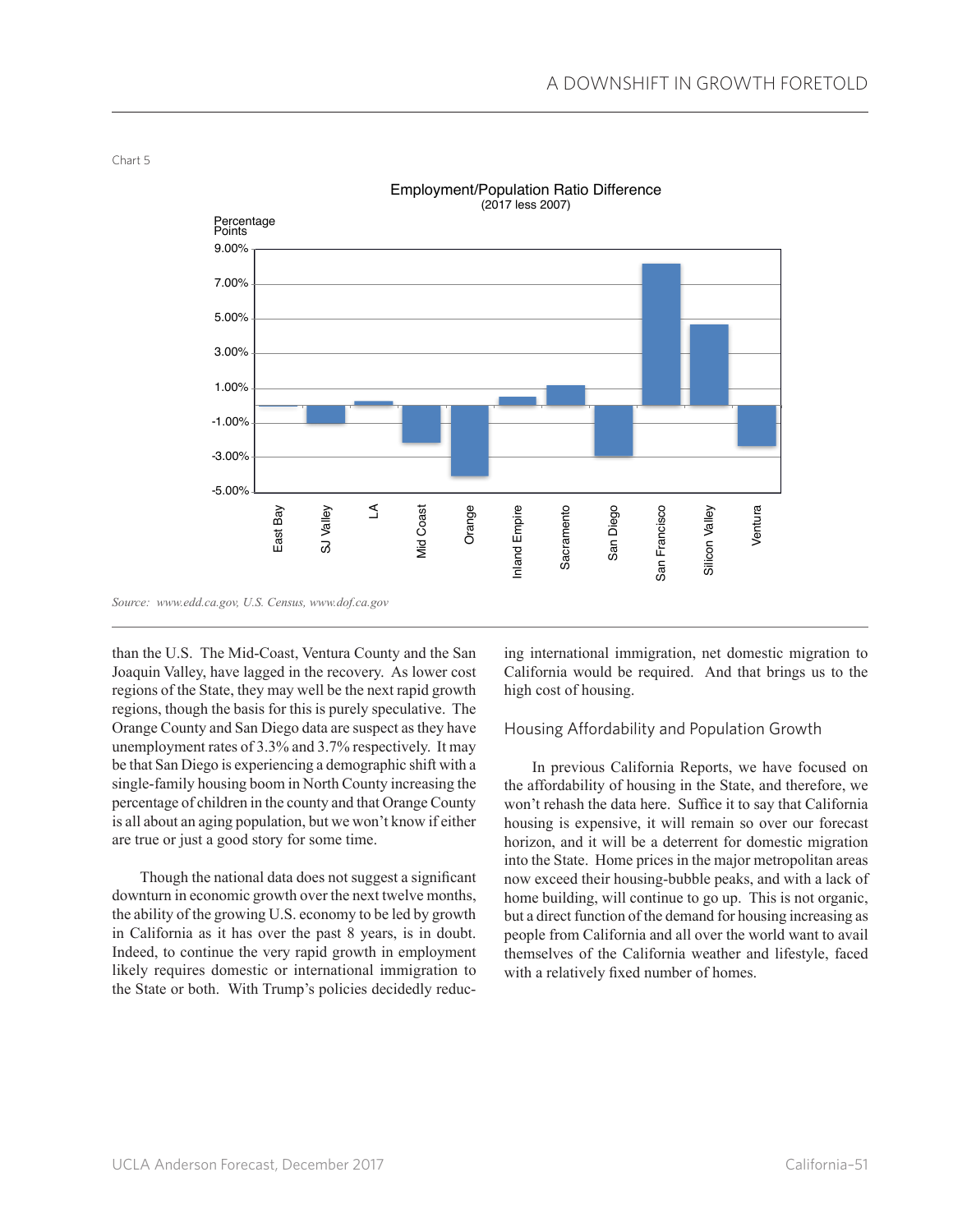

Employment/Population Ratio Difference (2017 less 2007)

*Source: www.edd.ca.gov, U.S. Census, www.dof.ca.gov*

than the U.S. The Mid-Coast, Ventura County and the San Joaquin Valley, have lagged in the recovery. As lower cost regions of the State, they may well be the next rapid growth regions, though the basis for this is purely speculative. The Orange County and San Diego data are suspect as they have unemployment rates of 3.3% and 3.7% respectively. It may be that San Diego is experiencing a demographic shift with a single-family housing boom in North County increasing the percentage of children in the county and that Orange County is all about an aging population, but we won't know if either are true or just a good story for some time.

Though the national data does not suggest a significant downturn in economic growth over the next twelve months, the ability of the growing U.S. economy to be led by growth in California as it has over the past 8 years, is in doubt. Indeed, to continue the very rapid growth in employment likely requires domestic or international immigration to the State or both. With Trump's policies decidedly reducing international immigration, net domestic migration to California would be required. And that brings us to the high cost of housing.

## Housing Affordability and Population Growth

In previous California Reports, we have focused on the affordability of housing in the State, and therefore, we won't rehash the data here. Suffice it to say that California housing is expensive, it will remain so over our forecast horizon, and it will be a deterrent for domestic migration into the State. Home prices in the major metropolitan areas now exceed their housing-bubble peaks, and with a lack of home building, will continue to go up. This is not organic, but a direct function of the demand for housing increasing as people from California and all over the world want to avail themselves of the California weather and lifestyle, faced with a relatively fixed number of homes.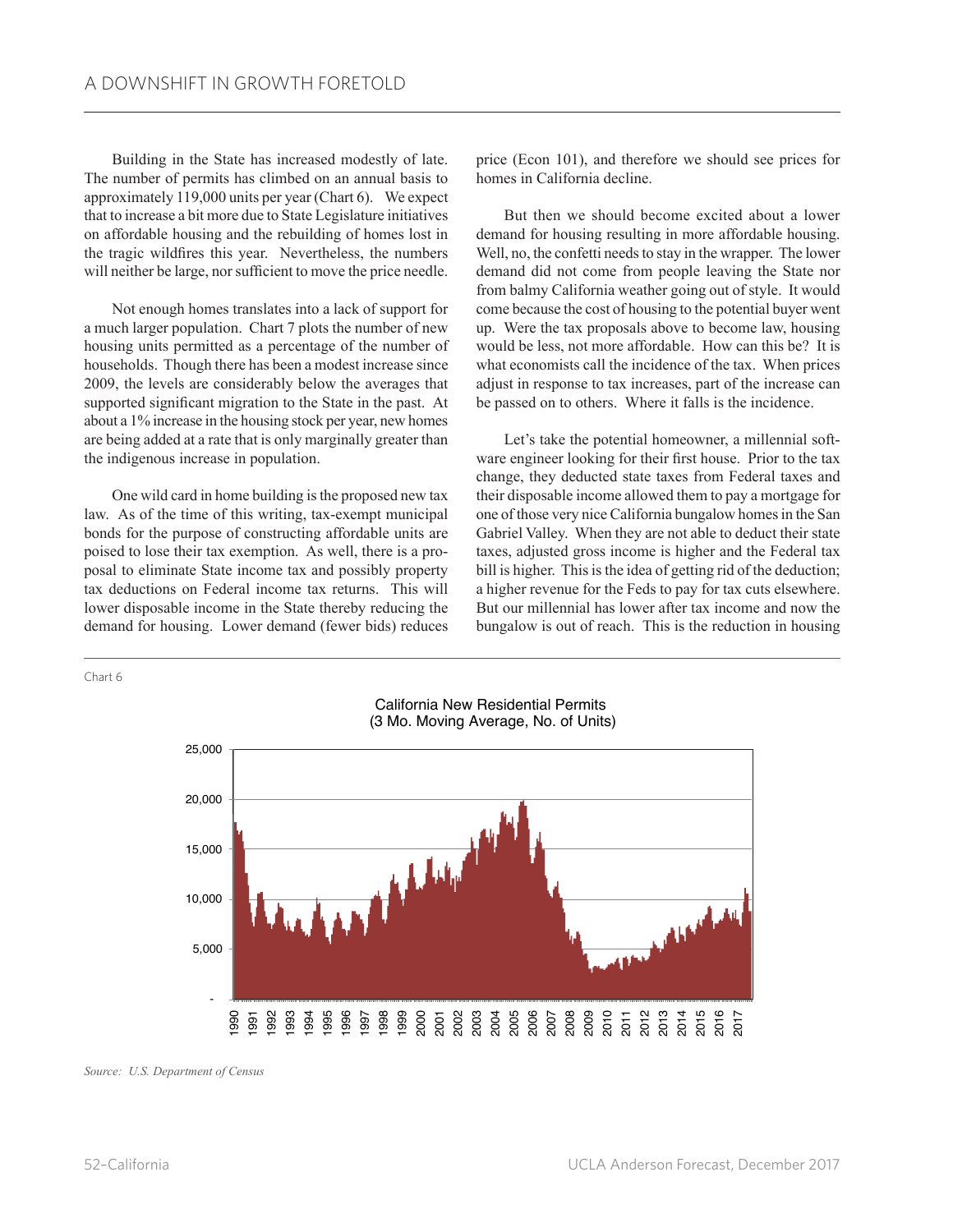Building in the State has increased modestly of late. The number of permits has climbed on an annual basis to approximately 119,000 units per year (Chart 6). We expect that to increase a bit more due to State Legislature initiatives on affordable housing and the rebuilding of homes lost in the tragic wildfires this year. Nevertheless, the numbers will neither be large, nor sufficient to move the price needle.

Not enough homes translates into a lack of support for a much larger population. Chart 7 plots the number of new housing units permitted as a percentage of the number of households. Though there has been a modest increase since 2009, the levels are considerably below the averages that supported significant migration to the State in the past. At about a 1% increase in the housing stock per year, new homes are being added at a rate that is only marginally greater than the indigenous increase in population.

One wild card in home building is the proposed new tax law. As of the time of this writing, tax-exempt municipal bonds for the purpose of constructing affordable units are poised to lose their tax exemption. As well, there is a proposal to eliminate State income tax and possibly property tax deductions on Federal income tax returns. This will lower disposable income in the State thereby reducing the demand for housing. Lower demand (fewer bids) reduces

price (Econ 101), and therefore we should see prices for homes in California decline.

But then we should become excited about a lower demand for housing resulting in more affordable housing. Well, no, the confetti needs to stay in the wrapper. The lower demand did not come from people leaving the State nor from balmy California weather going out of style. It would come because the cost of housing to the potential buyer went up. Were the tax proposals above to become law, housing would be less, not more affordable. How can this be? It is what economists call the incidence of the tax. When prices adjust in response to tax increases, part of the increase can be passed on to others. Where it falls is the incidence.

Let's take the potential homeowner, a millennial software engineer looking for their first house. Prior to the tax change, they deducted state taxes from Federal taxes and their disposable income allowed them to pay a mortgage for one of those very nice California bungalow homes in the San Gabriel Valley. When they are not able to deduct their state taxes, adjusted gross income is higher and the Federal tax bill is higher. This is the idea of getting rid of the deduction; a higher revenue for the Feds to pay for tax cuts elsewhere. But our millennial has lower after tax income and now the bungalow is out of reach. This is the reduction in housing



California New Residential Permits (3 Mo. Moving Average, No. of Units)

*Source: U.S. Department of Census*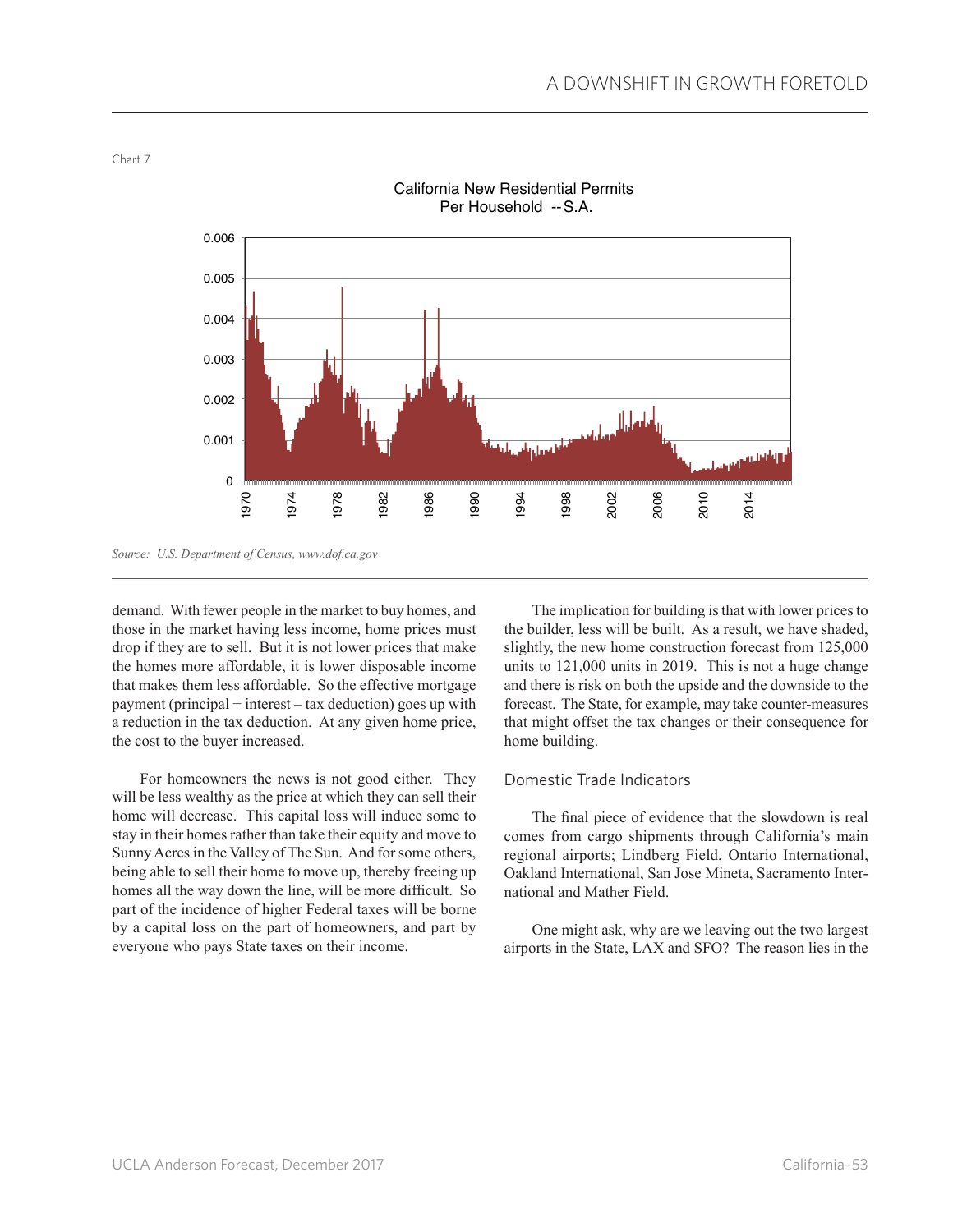

California New Residential Permits Per Household --S.A.

demand. With fewer people in the market to buy homes, and those in the market having less income, home prices must drop if they are to sell. But it is not lower prices that make the homes more affordable, it is lower disposable income that makes them less affordable. So the effective mortgage payment (principal + interest – tax deduction) goes up with a reduction in the tax deduction. At any given home price, the cost to the buyer increased.

For homeowners the news is not good either. They will be less wealthy as the price at which they can sell their home will decrease. This capital loss will induce some to stay in their homes rather than take their equity and move to Sunny Acres in the Valley of The Sun. And for some others, being able to sell their home to move up, thereby freeing up homes all the way down the line, will be more difficult. So part of the incidence of higher Federal taxes will be borne by a capital loss on the part of homeowners, and part by everyone who pays State taxes on their income.

The implication for building is that with lower prices to the builder, less will be built. As a result, we have shaded, slightly, the new home construction forecast from 125,000 units to 121,000 units in 2019. This is not a huge change and there is risk on both the upside and the downside to the forecast. The State, for example, may take counter-measures that might offset the tax changes or their consequence for home building.

## Domestic Trade Indicators

The final piece of evidence that the slowdown is real comes from cargo shipments through California's main regional airports; Lindberg Field, Ontario International, Oakland International, San Jose Mineta, Sacramento International and Mather Field.

One might ask, why are we leaving out the two largest airports in the State, LAX and SFO? The reason lies in the

*Source: U.S. Department of Census, www.dof.ca.gov*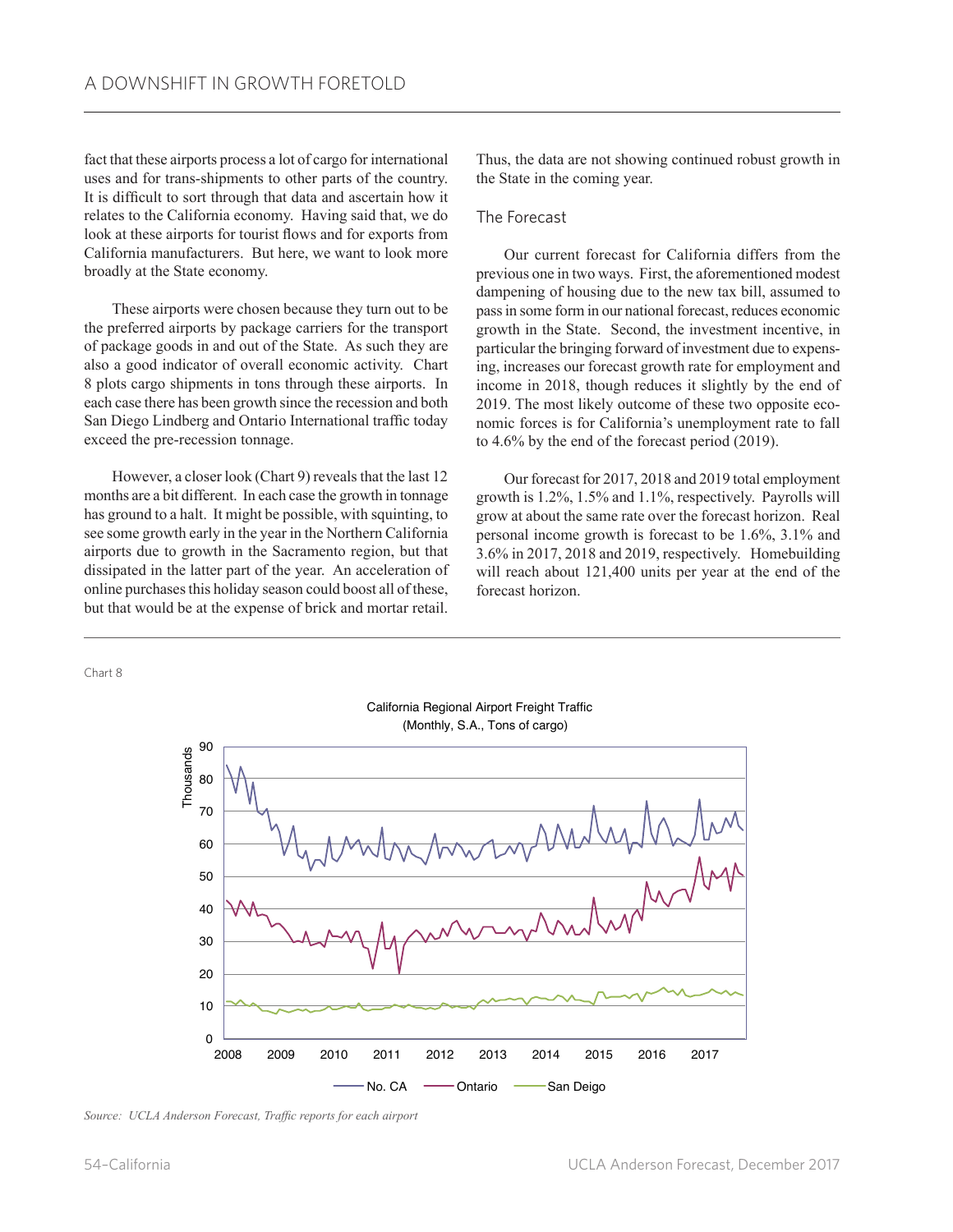fact that these airports process a lot of cargo for international uses and for trans-shipments to other parts of the country. It is difficult to sort through that data and ascertain how it relates to the California economy. Having said that, we do look at these airports for tourist flows and for exports from California manufacturers. But here, we want to look more broadly at the State economy.

These airports were chosen because they turn out to be the preferred airports by package carriers for the transport of package goods in and out of the State. As such they are also a good indicator of overall economic activity. Chart 8 plots cargo shipments in tons through these airports. In each case there has been growth since the recession and both San Diego Lindberg and Ontario International traffic today exceed the pre-recession tonnage.

However, a closer look (Chart 9) reveals that the last 12 months are a bit different. In each case the growth in tonnage has ground to a halt. It might be possible, with squinting, to see some growth early in the year in the Northern California airports due to growth in the Sacramento region, but that dissipated in the latter part of the year. An acceleration of online purchases this holiday season could boost all of these, but that would be at the expense of brick and mortar retail. Thus, the data are not showing continued robust growth in the State in the coming year.

#### The Forecast

Our current forecast for California differs from the previous one in two ways. First, the aforementioned modest dampening of housing due to the new tax bill, assumed to pass in some form in our national forecast, reduces economic growth in the State. Second, the investment incentive, in particular the bringing forward of investment due to expensing, increases our forecast growth rate for employment and income in 2018, though reduces it slightly by the end of 2019. The most likely outcome of these two opposite economic forces is for California's unemployment rate to fall to 4.6% by the end of the forecast period (2019).

Our forecast for 2017, 2018 and 2019 total employment growth is 1.2%, 1.5% and 1.1%, respectively. Payrolls will grow at about the same rate over the forecast horizon. Real personal income growth is forecast to be 1.6%, 3.1% and 3.6% in 2017, 2018 and 2019, respectively. Homebuilding will reach about 121,400 units per year at the end of the forecast horizon.



California Regional Airport Freight Traffic

*Source: UCLA Anderson Forecast, Traffic reports for each airport*